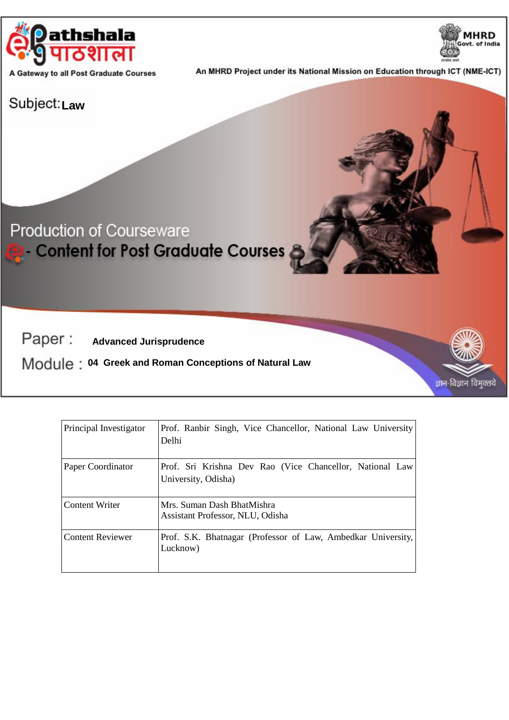

A Gateway to all Post Graduate Courses

An MHRD Project under its National Mission on Education through ICT (NME-ICT)

# Subject:<sub>Law</sub>

# **Production of Courseware Content for Post Graduate Courses**

Paper: **Advanced Jurisprudence**

 **04 Greek and Roman Conceptions of Natural Law**





**MHRD** Govt. of India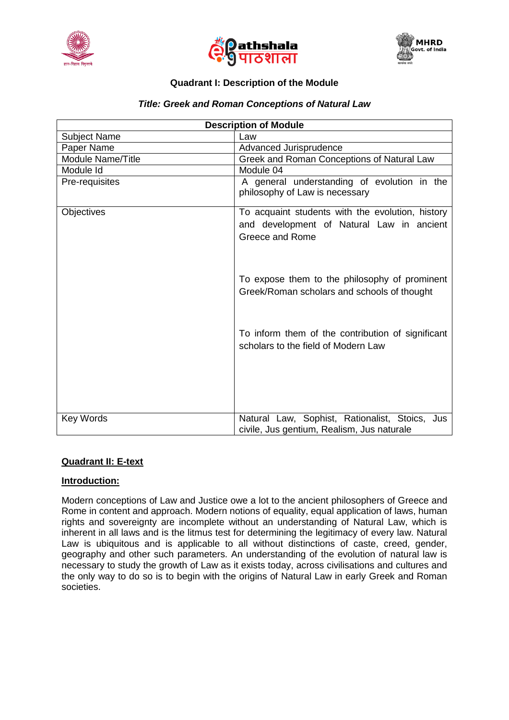





# **Quadrant I: Description of the Module**

## *Title: Greek and Roman Conceptions of Natural Law*

| <b>Description of Module</b> |                                                                                              |
|------------------------------|----------------------------------------------------------------------------------------------|
| <b>Subject Name</b>          | Law                                                                                          |
| Paper Name                   | Advanced Jurisprudence                                                                       |
| Module Name/Title            | Greek and Roman Conceptions of Natural Law                                                   |
| Module Id                    | Module 04                                                                                    |
| Pre-requisites               | A general understanding of evolution in the<br>philosophy of Law is necessary                |
| Objectives                   | To acquaint students with the evolution, history                                             |
|                              | and development of Natural Law in ancient                                                    |
|                              | Greece and Rome                                                                              |
|                              | To expose them to the philosophy of prominent<br>Greek/Roman scholars and schools of thought |
|                              | To inform them of the contribution of significant<br>scholars to the field of Modern Law     |
| Key Words                    | Natural Law, Sophist, Rationalist, Stoics, Jus<br>civile, Jus gentium, Realism, Jus naturale |

#### **Quadrant II: E-text**

#### **Introduction:**

Modern conceptions of Law and Justice owe a lot to the ancient philosophers of Greece and Rome in content and approach. Modern notions of equality, equal application of laws, human rights and sovereignty are incomplete without an understanding of Natural Law, which is inherent in all laws and is the litmus test for determining the legitimacy of every law. Natural Law is ubiquitous and is applicable to all without distinctions of caste, creed, gender, geography and other such parameters. An understanding of the evolution of natural law is necessary to study the growth of Law as it exists today, across civilisations and cultures and the only way to do so is to begin with the origins of Natural Law in early Greek and Roman societies.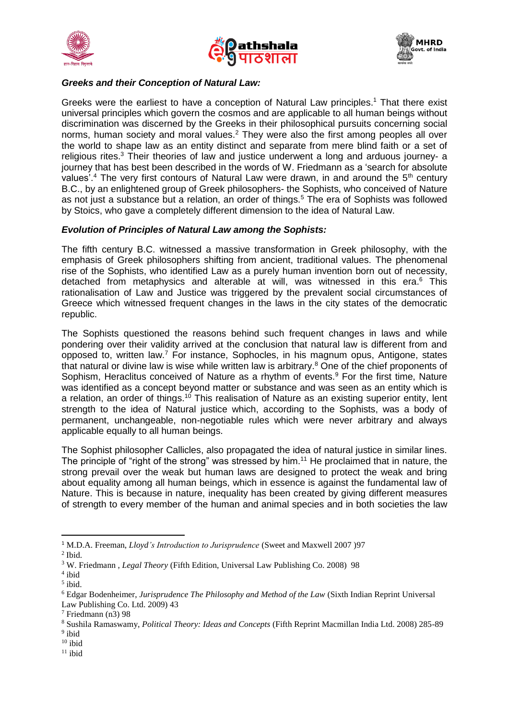





### *Greeks and their Conception of Natural Law:*

Greeks were the earliest to have a conception of Natural Law principles. <sup>1</sup> That there exist universal principles which govern the cosmos and are applicable to all human beings without discrimination was discerned by the Greeks in their philosophical pursuits concerning social norms, human society and moral values. <sup>2</sup> They were also the first among peoples all over the world to shape law as an entity distinct and separate from mere blind faith or a set of religious rites.<sup>3</sup> Their theories of law and justice underwent a long and arduous journey- a journey that has best been described in the words of W. Friedmann as a 'search for absolute values'.<sup>4</sup> The very first contours of Natural Law were drawn, in and around the 5<sup>th</sup> century B.C., by an enlightened group of Greek philosophers- the Sophists, who conceived of Nature as not just a substance but a relation, an order of things.<sup>5</sup> The era of Sophists was followed by Stoics, who gave a completely different dimension to the idea of Natural Law.

#### *Evolution of Principles of Natural Law among the Sophists:*

The fifth century B.C. witnessed a massive transformation in Greek philosophy, with the emphasis of Greek philosophers shifting from ancient, traditional values. The phenomenal rise of the Sophists, who identified Law as a purely human invention born out of necessity, detached from metaphysics and alterable at will, was witnessed in this era. <sup>6</sup> This rationalisation of Law and Justice was triggered by the prevalent social circumstances of Greece which witnessed frequent changes in the laws in the city states of the democratic republic.

The Sophists questioned the reasons behind such frequent changes in laws and while pondering over their validity arrived at the conclusion that natural law is different from and opposed to, written law.<sup>7</sup> For instance, Sophocles, in his magnum opus, Antigone, states that natural or divine law is wise while written law is arbitrary.<sup>8</sup> One of the chief proponents of Sophism, Heraclitus conceived of Nature as a rhythm of events.<sup>9</sup> For the first time, Nature was identified as a concept beyond matter or substance and was seen as an entity which is a relation, an order of things.<sup>10</sup> This realisation of Nature as an existing superior entity, lent strength to the idea of Natural justice which, according to the Sophists, was a body of permanent, unchangeable, non-negotiable rules which were never arbitrary and always applicable equally to all human beings.

The Sophist philosopher Callicles, also propagated the idea of natural justice in similar lines. The principle of "right of the strong" was stressed by him.<sup>11</sup> He proclaimed that in nature, the strong prevail over the weak but human laws are designed to protect the weak and bring about equality among all human beings, which in essence is against the fundamental law of Nature. This is because in nature, inequality has been created by giving different measures of strength to every member of the human and animal species and in both societies the law

1

<sup>1</sup> M.D.A. Freeman, *Lloyd's Introduction to Jurisprudence* (Sweet and Maxwell 2007 )97 2 Ibid.

<sup>3</sup> W. Friedmann , *Legal Theory* (Fifth Edition, Universal Law Publishing Co. 2008) 98

<sup>4</sup> ibid

<sup>5</sup> ibid.

<sup>6</sup> Edgar Bodenheimer, *Jurisprudence The Philosophy and Method of the Law* (Sixth Indian Reprint Universal Law Publishing Co. Ltd. 2009) 43

<sup>7</sup> Friedmann (n3) 98

<sup>8</sup> Sushila Ramaswamy, *Political Theory: Ideas and Concepts* (Fifth Reprint Macmillan India Ltd. 2008) 285-89 <sup>9</sup> ibid

 $10$  ibid

 $11$  ibid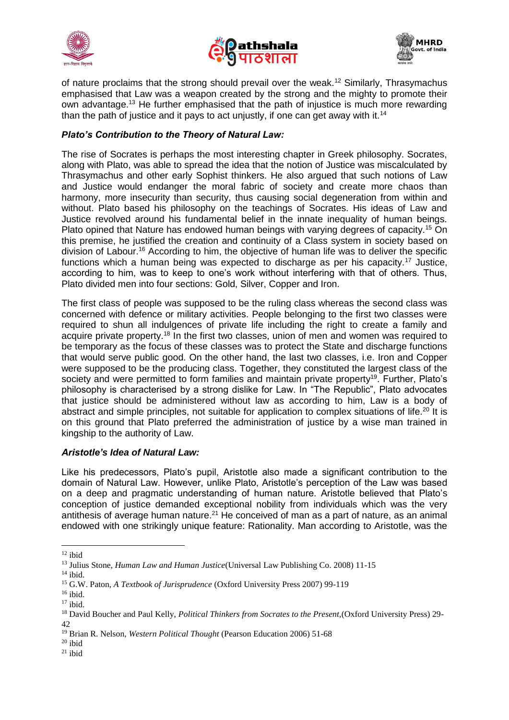





of nature proclaims that the strong should prevail over the weak.<sup>12</sup> Similarly, Thrasymachus emphasised that Law was a weapon created by the strong and the mighty to promote their own advantage.<sup>13</sup> He further emphasised that the path of injustice is much more rewarding than the path of justice and it pays to act unjustly, if one can get away with it.<sup>14</sup>

# *Plato's Contribution to the Theory of Natural Law:*

The rise of Socrates is perhaps the most interesting chapter in Greek philosophy. Socrates, along with Plato, was able to spread the idea that the notion of Justice was miscalculated by Thrasymachus and other early Sophist thinkers. He also argued that such notions of Law and Justice would endanger the moral fabric of society and create more chaos than harmony, more insecurity than security, thus causing social degeneration from within and without. Plato based his philosophy on the teachings of Socrates. His ideas of Law and Justice revolved around his fundamental belief in the innate inequality of human beings. Plato opined that Nature has endowed human beings with varying degrees of capacity.<sup>15</sup> On this premise, he justified the creation and continuity of a Class system in society based on division of Labour. <sup>16</sup> According to him, the objective of human life was to deliver the specific functions which a human being was expected to discharge as per his capacity.<sup>17</sup> Justice, according to him, was to keep to one's work without interfering with that of others. Thus, Plato divided men into four sections: Gold, Silver, Copper and Iron.

The first class of people was supposed to be the ruling class whereas the second class was concerned with defence or military activities. People belonging to the first two classes were required to shun all indulgences of private life including the right to create a family and acquire private property.<sup>18</sup> In the first two classes, union of men and women was required to be temporary as the focus of these classes was to protect the State and discharge functions that would serve public good. On the other hand, the last two classes, i.e. Iron and Copper were supposed to be the producing class. Together, they constituted the largest class of the society and were permitted to form families and maintain private property<sup>19</sup>. Further, Plato's philosophy is characterised by a strong dislike for Law. In "The Republic", Plato advocates that justice should be administered without law as according to him, Law is a body of abstract and simple principles, not suitable for application to complex situations of life.<sup>20</sup> It is on this ground that Plato preferred the administration of justice by a wise man trained in kingship to the authority of Law.

#### *Aristotle's Idea of Natural Law:*

Like his predecessors, Plato's pupil, Aristotle also made a significant contribution to the domain of Natural Law. However, unlike Plato, Aristotle's perception of the Law was based on a deep and pragmatic understanding of human nature. Aristotle believed that Plato's conception of justice demanded exceptional nobility from individuals which was the very antithesis of average human nature.<sup>21</sup> He conceived of man as a part of nature, as an animal endowed with one strikingly unique feature: Rationality. Man according to Aristotle, was the

**<sup>.</sup>**  $12$  ibid

<sup>13</sup> Julius Stone*, Human Law and Human Justice*(Universal Law Publishing Co. 2008) 11-15

 $14$  ibid.

<sup>15</sup> G.W. Paton, *A Textbook of Jurisprudence* (Oxford University Press 2007) 99-119

<sup>16</sup> ibid.

 $17$  ibid.

<sup>18</sup> David Boucher and Paul Kelly, *Political Thinkers from Socrates to the Present,*(Oxford University Press) 29- 42

<sup>19</sup> Brian R. Nelson, *Western Political Thought* (Pearson Education 2006) 51-68

 $20$  ibid

 $21$  ibid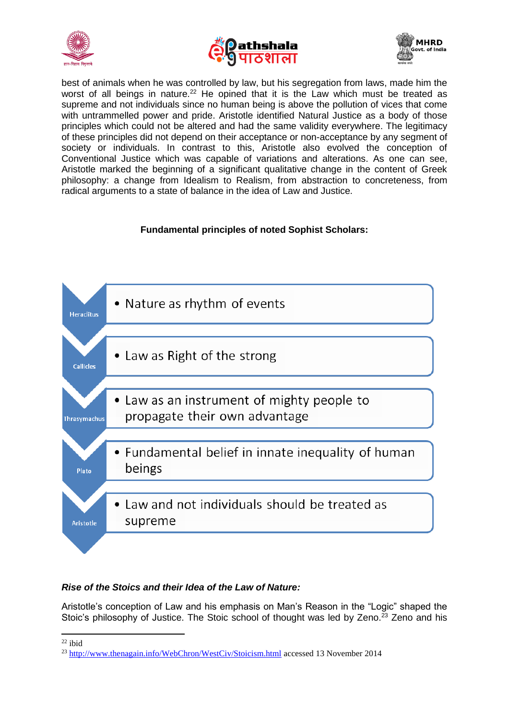





best of animals when he was controlled by law, but his segregation from laws, made him the worst of all beings in nature.<sup>22</sup> He opined that it is the Law which must be treated as supreme and not individuals since no human being is above the pollution of vices that come with untrammelled power and pride. Aristotle identified Natural Justice as a body of those principles which could not be altered and had the same validity everywhere. The legitimacy of these principles did not depend on their acceptance or non-acceptance by any segment of society or individuals. In contrast to this, Aristotle also evolved the conception of Conventional Justice which was capable of variations and alterations. As one can see, Aristotle marked the beginning of a significant qualitative change in the content of Greek philosophy: a change from Idealism to Realism, from abstraction to concreteness, from radical arguments to a state of balance in the idea of Law and Justice.

### **Fundamental principles of noted Sophist Scholars:**



# *Rise of the Stoics and their Idea of the Law of Nature:*

Aristotle's conception of Law and his emphasis on Man's Reason in the "Logic" shaped the Stoic's philosophy of Justice. The Stoic school of thought was led by Zeno.<sup>23</sup> Zeno and his

**<sup>.</sup>**  $22$  ibid

<sup>23</sup> <http://www.thenagain.info/WebChron/WestCiv/Stoicism.html> accessed 13 November 2014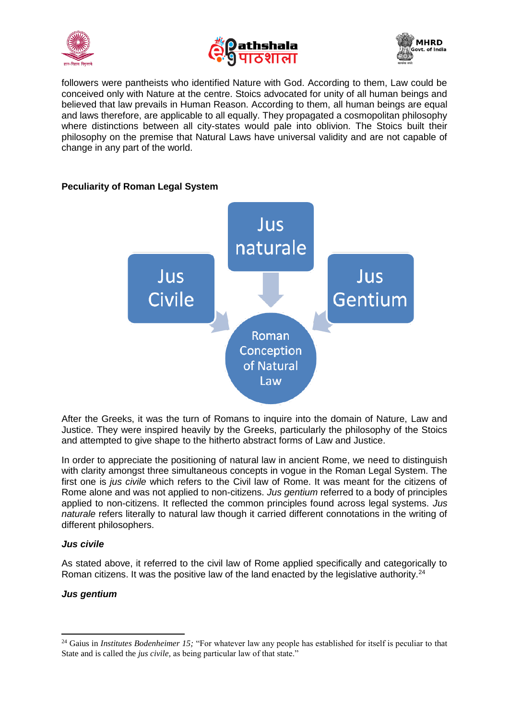





followers were pantheists who identified Nature with God. According to them, Law could be conceived only with Nature at the centre. Stoics advocated for unity of all human beings and believed that law prevails in Human Reason. According to them, all human beings are equal and laws therefore, are applicable to all equally. They propagated a cosmopolitan philosophy where distinctions between all city-states would pale into oblivion. The Stoics built their philosophy on the premise that Natural Laws have universal validity and are not capable of change in any part of the world.



# **Peculiarity of Roman Legal System**

After the Greeks, it was the turn of Romans to inquire into the domain of Nature, Law and Justice. They were inspired heavily by the Greeks, particularly the philosophy of the Stoics and attempted to give shape to the hitherto abstract forms of Law and Justice.

In order to appreciate the positioning of natural law in ancient Rome, we need to distinguish with clarity amongst three simultaneous concepts in vogue in the Roman Legal System. The first one is *jus civile* which refers to the Civil law of Rome. It was meant for the citizens of Rome alone and was not applied to non-citizens. *Jus gentium* referred to a body of principles applied to non-citizens. It reflected the common principles found across legal systems. *Jus naturale* refers literally to natural law though it carried different connotations in the writing of different philosophers.

### *Jus civile*

As stated above, it referred to the civil law of Rome applied specifically and categorically to Roman citizens. It was the positive law of the land enacted by the legislative authority.<sup>24</sup>

# *Jus gentium*

**<sup>.</sup>** <sup>24</sup> Gaius in *Institutes Bodenheimer 15;* "For whatever law any people has established for itself is peculiar to that State and is called the *jus civile,* as being particular law of that state."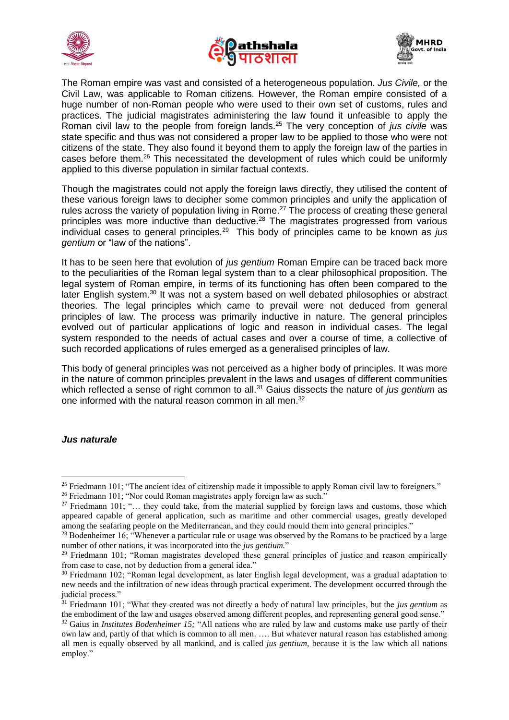





The Roman empire was vast and consisted of a heterogeneous population. *Jus Civile,* or the Civil Law, was applicable to Roman citizens. However, the Roman empire consisted of a huge number of non-Roman people who were used to their own set of customs, rules and practices. The judicial magistrates administering the law found it unfeasible to apply the Roman civil law to the people from foreign lands.<sup>25</sup> The very conception of *jus civile* was state specific and thus was not considered a proper law to be applied to those who were not citizens of the state. They also found it beyond them to apply the foreign law of the parties in cases before them.<sup>26</sup> This necessitated the development of rules which could be uniformly applied to this diverse population in similar factual contexts.

Though the magistrates could not apply the foreign laws directly, they utilised the content of these various foreign laws to decipher some common principles and unify the application of rules across the variety of population living in Rome.<sup>27</sup> The process of creating these general principles was more inductive than deductive.<sup>28</sup> The magistrates progressed from various individual cases to general principles.<sup>29</sup> This body of principles came to be known as *jus gentium* or "law of the nations".

It has to be seen here that evolution of *jus gentium* Roman Empire can be traced back more to the peculiarities of the Roman legal system than to a clear philosophical proposition. The legal system of Roman empire, in terms of its functioning has often been compared to the later English system.<sup>30</sup> It was not a system based on well debated philosophies or abstract theories. The legal principles which came to prevail were not deduced from general principles of law. The process was primarily inductive in nature. The general principles evolved out of particular applications of logic and reason in individual cases. The legal system responded to the needs of actual cases and over a course of time, a collective of such recorded applications of rules emerged as a generalised principles of law.

This body of general principles was not perceived as a higher body of principles. It was more in the nature of common principles prevalent in the laws and usages of different communities which reflected a sense of right common to all.<sup>31</sup> Gaius dissects the nature of *jus gentium* as one informed with the natural reason common in all men.<sup>32</sup>

#### *Jus naturale*

1

<sup>&</sup>lt;sup>25</sup> Friedmann 101; "The ancient idea of citizenship made it impossible to apply Roman civil law to foreigners."

<sup>&</sup>lt;sup>26</sup> Friedmann 101; "Nor could Roman magistrates apply foreign law as such."

<sup>&</sup>lt;sup>27</sup> Friedmann 101; "… they could take, from the material supplied by foreign laws and customs, those which appeared capable of general application, such as maritime and other commercial usages, greatly developed among the seafaring people on the Mediterranean, and they could mould them into general principles."

<sup>&</sup>lt;sup>28</sup> Bodenheimer 16; "Whenever a particular rule or usage was observed by the Romans to be practiced by a large number of other nations, it was incorporated into the *jus gentium.*"

<sup>&</sup>lt;sup>29</sup> Friedmann 101; "Roman magistrates developed these general principles of justice and reason empirically from case to case, not by deduction from a general idea."

<sup>&</sup>lt;sup>30</sup> Friedmann 102; "Roman legal development, as later English legal development, was a gradual adaptation to new needs and the infiltration of new ideas through practical experiment. The development occurred through the judicial process."

<sup>31</sup> Friedmann 101; "What they created was not directly a body of natural law principles, but the *jus gentium* as the embodiment of the law and usages observed among different peoples, and representing general good sense."

<sup>&</sup>lt;sup>32</sup> Gaius in *Institutes Bodenheimer 15*; "All nations who are ruled by law and customs make use partly of their own law and, partly of that which is common to all men. …. But whatever natural reason has established among all men is equally observed by all mankind, and is called *jus gentium*, because it is the law which all nations employ."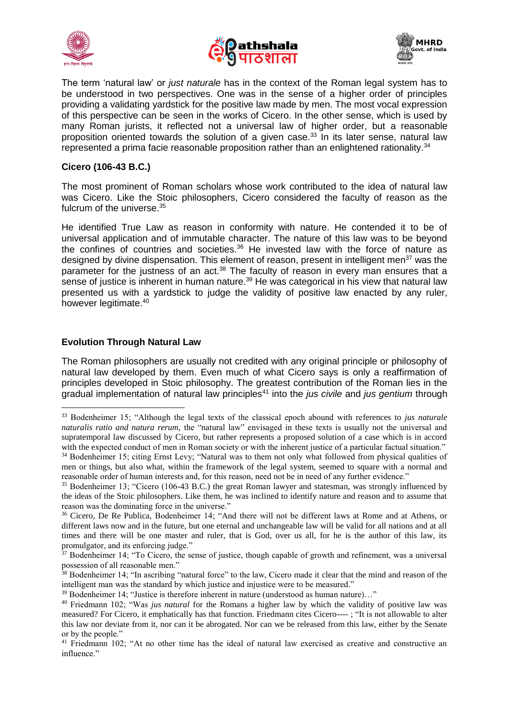





The term 'natural law' or *just naturale* has in the context of the Roman legal system has to be understood in two perspectives. One was in the sense of a higher order of principles providing a validating yardstick for the positive law made by men. The most vocal expression of this perspective can be seen in the works of Cicero. In the other sense, which is used by many Roman jurists, it reflected not a universal law of higher order, but a reasonable proposition oriented towards the solution of a given case.<sup>33</sup> In its later sense, natural law represented a prima facie reasonable proposition rather than an enlightened rationality.<sup>34</sup>

#### **Cicero (106-43 B.C.)**

The most prominent of Roman scholars whose work contributed to the idea of natural law was Cicero. Like the Stoic philosophers, Cicero considered the faculty of reason as the fulcrum of the universe.<sup>35</sup>

He identified True Law as reason in conformity with nature. He contended it to be of universal application and of immutable character. The nature of this law was to be beyond the confines of countries and societies. $36$  He invested law with the force of nature as designed by divine dispensation. This element of reason, present in intelligent men<sup>37</sup> was the parameter for the justness of an act.<sup>38</sup> The faculty of reason in every man ensures that a sense of justice is inherent in human nature.<sup>39</sup> He was categorical in his view that natural law presented us with a yardstick to judge the validity of positive law enacted by any ruler, however legitimate.<sup>40</sup>

#### **Evolution Through Natural Law**

1

The Roman philosophers are usually not credited with any original principle or philosophy of natural law developed by them. Even much of what Cicero says is only a reaffirmation of principles developed in Stoic philosophy. The greatest contribution of the Roman lies in the gradual implementation of natural law principles<sup>41</sup> into the *jus civile* and *jus gentium* through

<sup>33</sup> Bodenheimer 15; "Although the legal texts of the classical epoch abound with references to *jus naturale naturalis ratio and natura rerum,* the "natural law" envisaged in these texts is usually not the universal and supratemporal law discussed by Cicero, but rather represents a proposed solution of a case which is in accord with the expected conduct of men in Roman society or with the inherent justice of a particular factual situation." <sup>34</sup> Bodenheimer 15; citing Ernst Levy; "Natural was to them not only what followed from physical qualities of men or things, but also what, within the framework of the legal system, seemed to square with a normal and

reasonable order of human interests and, for this reason, need not be in need of any further evidence." <sup>35</sup> Bodenheimer 13; "Cicero (106-43 B.C.) the great Roman lawyer and statesman, was strongly influenced by the ideas of the Stoic philosophers. Like them, he was inclined to identify nature and reason and to assume that reason was the dominating force in the universe."

<sup>36</sup> Cicero, De Re Publica, Bodenheimer 14; "And there will not be different laws at Rome and at Athens, or different laws now and in the future, but one eternal and unchangeable law will be valid for all nations and at all times and there will be one master and ruler, that is God, over us all, for he is the author of this law, its promulgator, and its enforcing judge."

 $37$  Bodenheimer 14; "To Cicero, the sense of justice, though capable of growth and refinement, was a universal possession of all reasonable men."

<sup>&</sup>lt;sup>38</sup> Bodenheimer 14; "In ascribing "natural force" to the law, Cicero made it clear that the mind and reason of the intelligent man was the standard by which justice and injustice were to be measured."

<sup>39</sup> Bodenheimer 14; "Justice is therefore inherent in nature (understood as human nature)…"

<sup>40</sup> Friedmann 102; "Was *jus natural* for the Romans a higher law by which the validity of positive law was measured? For Cicero, it emphatically has that function. Friedmann cites Cicero---- ; "It is not allowable to alter this law nor deviate from it, nor can it be abrogated. Nor can we be released from this law, either by the Senate or by the people."

<sup>&</sup>lt;sup>41</sup> Friedmann 102; "At no other time has the ideal of natural law exercised as creative and constructive an influence."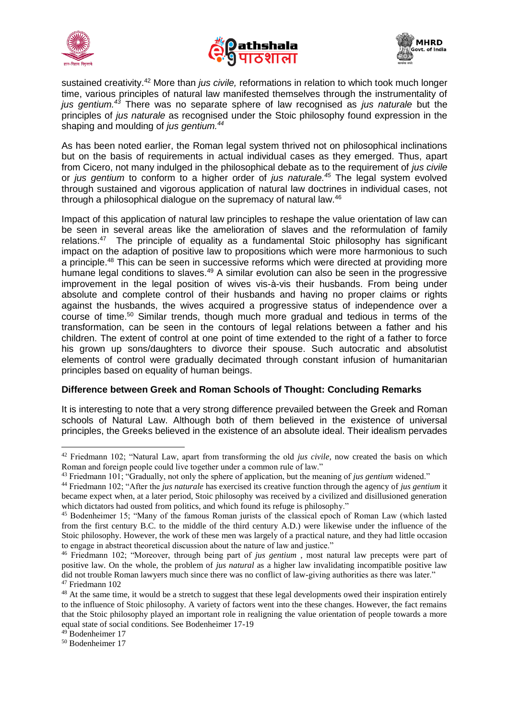





sustained creativity.<sup>42</sup> More than *jus civile,* reformations in relation to which took much longer time, various principles of natural law manifested themselves through the instrumentality of *jus gentium.<sup>43</sup>* There was no separate sphere of law recognised as *jus naturale* but the principles of *jus naturale* as recognised under the Stoic philosophy found expression in the shaping and moulding of *jus gentium.<sup>44</sup>*

As has been noted earlier, the Roman legal system thrived not on philosophical inclinations but on the basis of requirements in actual individual cases as they emerged. Thus, apart from Cicero, not many indulged in the philosophical debate as to the requirement of *jus civile*  or *jus gentium* to conform to a higher order of *jus naturale.<sup>45</sup>* The legal system evolved through sustained and vigorous application of natural law doctrines in individual cases, not through a philosophical dialogue on the supremacy of natural law.<sup>46</sup>

Impact of this application of natural law principles to reshape the value orientation of law can be seen in several areas like the amelioration of slaves and the reformulation of family relations.<sup>47</sup> The principle of equality as a fundamental Stoic philosophy has significant impact on the adaption of positive law to propositions which were more harmonious to such a principle.<sup>48</sup> This can be seen in successive reforms which were directed at providing more humane legal conditions to slaves.<sup>49</sup> A similar evolution can also be seen in the progressive improvement in the legal position of wives vis-à-vis their husbands. From being under absolute and complete control of their husbands and having no proper claims or rights against the husbands, the wives acquired a progressive status of independence over a course of time.<sup>50</sup> Similar trends, though much more gradual and tedious in terms of the transformation, can be seen in the contours of legal relations between a father and his children. The extent of control at one point of time extended to the right of a father to force his grown up sons/daughters to divorce their spouse. Such autocratic and absolutist elements of control were gradually decimated through constant infusion of humanitarian principles based on equality of human beings.

### **Difference between Greek and Roman Schools of Thought: Concluding Remarks**

It is interesting to note that a very strong difference prevailed between the Greek and Roman schools of Natural Law. Although both of them believed in the existence of universal principles, the Greeks believed in the existence of an absolute ideal. Their idealism pervades

1

<sup>42</sup> Friedmann 102; "Natural Law, apart from transforming the old *jus civile,* now created the basis on which Roman and foreign people could live together under a common rule of law."

<sup>43</sup> Friedmann 101; "Gradually, not only the sphere of application, but the meaning of *jus gentium* widened."

<sup>44</sup> Friedmann 102; "After the *jus naturale* has exercised its creative function through the agency of *jus gentium* it became expect when, at a later period, Stoic philosophy was received by a civilized and disillusioned generation which dictators had ousted from politics, and which found its refuge is philosophy."

<sup>45</sup> Bodenheimer 15; "Many of the famous Roman jurists of the classical epoch of Roman Law (which lasted from the first century B.C. to the middle of the third century A.D.) were likewise under the influence of the Stoic philosophy. However, the work of these men was largely of a practical nature, and they had little occasion to engage in abstract theoretical discussion about the nature of law and justice."

<sup>46</sup> Friedmann 102; "Moreover, through being part of *jus gentium* , most natural law precepts were part of positive law. On the whole, the problem of *jus natural* as a higher law invalidating incompatible positive law did not trouble Roman lawyers much since there was no conflict of law-giving authorities as there was later." <sup>47</sup> Friedmann 102

<sup>&</sup>lt;sup>48</sup> At the same time, it would be a stretch to suggest that these legal developments owed their inspiration entirely to the influence of Stoic philosophy. A variety of factors went into the these changes. However, the fact remains that the Stoic philosophy played an important role in realigning the value orientation of people towards a more equal state of social conditions. See Bodenheimer 17-19

<sup>49</sup> Bodenheimer 17

<sup>50</sup> Bodenheimer 17